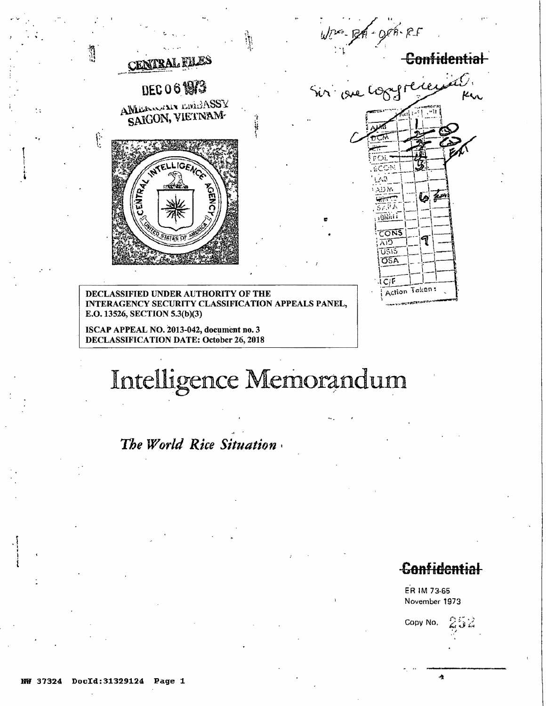

ISCAP APPEAL NO. 2013-042, document no. 3 **DECLASSIFICATION DATE: October 26, 2018** 

# Intelligence Memorandum

The World Rice Situation

# **Confidential**

Á

ER IM 73-65 November 1973

Copy No.

İτ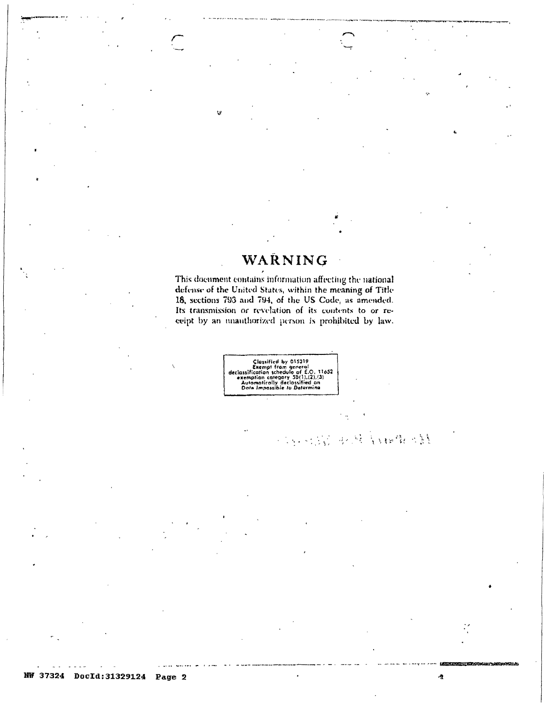# WARNING

This document contains information affecting the national defense of the United States, within the meaning of Title 18, sections 793 and 794, of the US Code, as amended. Its transmission or revelation of its contents to or receipt by an unauthorized person is prohibited by law.



 $\cdot$ 

机动轮 电线管轴线 绿线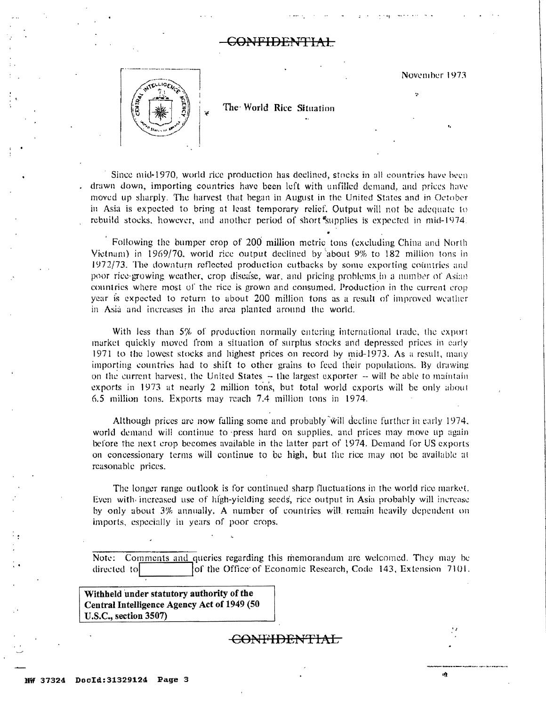## <del>SONFIDENTIAL</del>

November 1973



The World Rice Situation

Since mid-1970, world rice production has declined, stocks in all countries have been drawn down, importing countries have been left with unfilled demand, and prices have moved up sharply. The harvest that began in August in the United States and in October in Asia is expected to bring at least temporary relief. Output will not be adequate to rebuild stocks, however, and another period of short supplies is expected in mid-1974.

Following the bumper crop of 200 million metric tons (excluding China and North Vietnam) in 1969/70, world rice output declined by about 9% to 182 million tons in 1972/73. The downturn reflected production cutbacks by some exporting countries and poor rice-growing weather, crop discase, war, and pricing problems in a number of Asian countries where most of the rice is grown and consumed. Production in the current crop year is expected to return to about 200 million tons as a result of improved weather in Asia and increases in the area planted around the world.

With less than 5% of production normally entering international trade, the export market quickly moved from a situation of surplus stocks and depressed prices in early 1971 to the lowest stocks and highest prices on record by mid-1973. As a result, many importing countries had to shift to other grains to feed their populations. By drawing on the current harvest, the United States – the largest exporter – will be able to maintain exports in 1973 at nearly 2 million tons, but total world exports will be only about 6.5 million tons. Exports may reach 7.4 million tons in 1974.

Although prices are now falling some and probably will decline further in early 1974, world demand will continue to press hard on supplies, and prices may move up again before the next crop becomes available in the latter part of 1974. Demand for US exports on concessionary terms will continue to be high, but the rice may not be available at reasonable prices.

The longer range outlook is for continued sharp fluctuations in the world rice market. Even with increased use of high-yielding seeds, rice output in Asia probably will increase by only about 3% annually. A number of countries will remain heavily dependent on imports, especially in years of poor crops.

Note: Comments and queries regarding this memorandum are welcomed. They may be directed to of the Office of Economic Research, Code 143, Extension 7101.

Withheld under statutory authority of the Central Intelligence Agency Act of 1949 (50 U.S.C., section 3507)

<del>CONFIDENTIAL</del>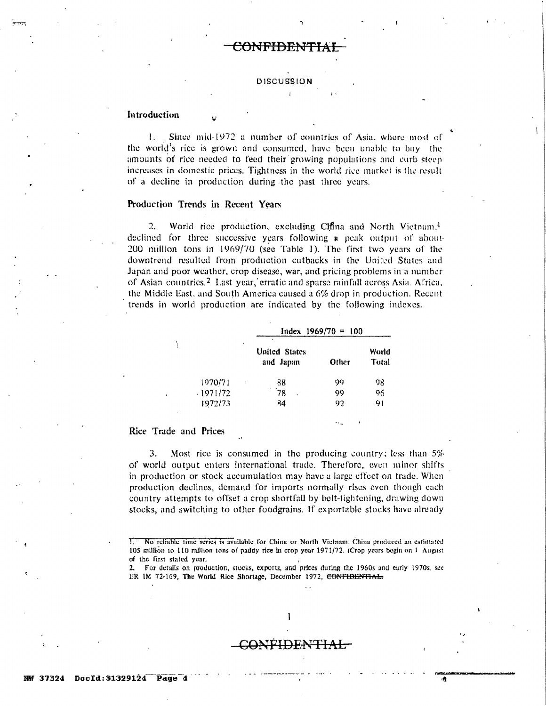#### **DISCUSSION**

### Introduction

Since mid-1972 a number of countries of Asia, where most of  $\mathbf{l}$ . the world's rice is grown and consumed, have been unable to buy the amounts of rice needed to feed their growing populations and curb steep increases in domestic prices. Tightness in the world rice market is the result of a decline in production during the past three years.

#### Production Trends in Recent Years

2. World rice production, excluding China and North Vietnam,<sup>1</sup> declined for three successive years following a peak output of about-200 million tons in 1969/70 (see Table 1). The first two years of the downtrend resulted from production cutbacks in the United States and Japan and poor weather, crop disease, war, and pricing problems in a number of Asian countries.<sup>2</sup> Last year, erratic and sparse rainfall across Asia. Africa, the Middle East, and South America caused a 6% drop in production. Recent trends in world production are indicated by the following indexes.

|            | Index $1969/70 = 100$             |       |                |  |
|------------|-----------------------------------|-------|----------------|--|
| ٠          | <b>United States</b><br>and Japan | Other | World<br>Total |  |
| 1970/71    | 88                                | 99    | 98             |  |
| $-1971/72$ | 78<br>x                           | 99    | 96             |  |
| 1972/73    | 84                                | 92    | 91             |  |

### Rice Trade and Prices

3. Most rice is consumed in the producing country; less than  $5\%$ of world output enters international trade. Therefore, even minor shifts in production or stock accumulation may have a large effect on trade. When production declines, demand for imports normally rises even though each country attempts to offset a crop shortfall by belt-tightening, drawing down stocks, and switching to other foodgrains. If exportable stocks have already

### **CONFIDENTIAL**

1

No reliable time series is available for China or North Vietnam. China produced an estimated T. 105 million to 110 million tons of paddy rice in crop year 1971/72. (Crop years begin on 1 August of the first stated year.

<sup>2.</sup> For details on production, stocks, exports, and prices during the 1960s and early 1970s, see ER 1M 72-169, The World Rice Shortage, December 1972, CONFIDENTIAL: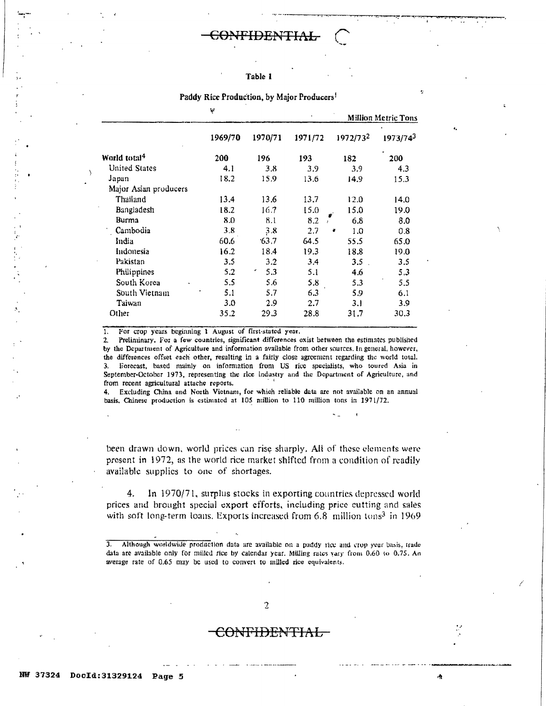#### Table 1

|                          | Ŧ       |         |         | <b>Million Metric Tons</b> |          |
|--------------------------|---------|---------|---------|----------------------------|----------|
|                          | 1969/70 | 1970/71 | 1971/72 | 1972/732                   | 1973/743 |
| World total <sup>4</sup> | 200     | 196     | 193     | 182                        | 200      |
| <b>United States</b>     | 4.1     | 3.8     | 3.9     | 3.9                        | 4.3      |
| Japan                    | 18.2    | 15.9    | 13.6    | 14.9                       | 15.3     |
| Major Asian producers    |         |         |         |                            |          |
| Thailand                 | 13.4    | 13.6    | 13.7    | 12.0                       | 14.0     |
| Bangladesh               | 18.2    | 16.7    | 15.0    | 15.0                       | 19.0     |
| Burma                    | 8.0     | 8.1     | 8.2     | 6.8                        | 8.0      |
| Cambodia                 | 3.8     | 3.8     | 2.7     | 1.0<br>c                   | 0.8      |
| India                    | 60.6    | 63.7    | 64.5    | 55.5                       | 65.0     |
| Indonesia                | 16.2    | 18.4    | 19.3    | 18.8                       | 19.0     |
| Pakistan                 | 3.5     | 3.2     | 3.4     | 3.5                        | 3.5      |
| Philippines              | 5.2     | 5.3     | 5.1     | 4.6                        | 5.3      |
| South Korea              | 5.5     | 5.6     | 5.8     | 5.3                        | 5.5      |
| South Vietnam            | 5.1     | 5.7     | 6.3     | 5.9                        | 6.1      |
| Taiwan                   | 3.0     | 2.9     | 2.7     | 3.1                        | 3.9      |
| Other                    | 35.2    | 29.3    | 28.8    | 31.7                       | 30.3     |

Paddy Rice Production, by Major Producers<sup>1</sup>

For crop years beginning 1 August of first-stated year. 1.

Preliminary. For a few countries, significant differences exist between the estimates published  $2<sup>1</sup>$ by the Department of Agriculture and information available from other sources. In general, however, the differences offset each other, resulting in a fairly close agreement regarding the world total. 3. Forecast, based mainly on information from US rice specialists, who toured Asia in September-October 1973, representing the rice industry and the Department of Agriculture, and from recent agricultural attache reports.

Excluding China and North Vietnam, for which reliable data are not available on an annual  $4.$ basis, Chinese production is estimated at 105 million to 110 million tons in 1971/72.

been drawn down, world prices can rise sharply. All of these elements were present in 1972, as the world rice market shifted from a condition of readily available supplies to one of shortages.

In 1970/71, surplus stocks in exporting countries depressed world 4. prices and brought special export efforts, including price cutting and sales with soft long-term loans. Exports increased from 6.8 million tons<sup>3</sup> in 1969

Although worldwide production data are available on a paddy rice and crop year basis, trade  $\overline{3}$ . data are available only for milled rice by calendar year. Milling rates vary from 0.60 to 0.75. An average rate of 0.65 may be used to convert to milled rice equivalents.

# :ONFIDENTIAL

÷.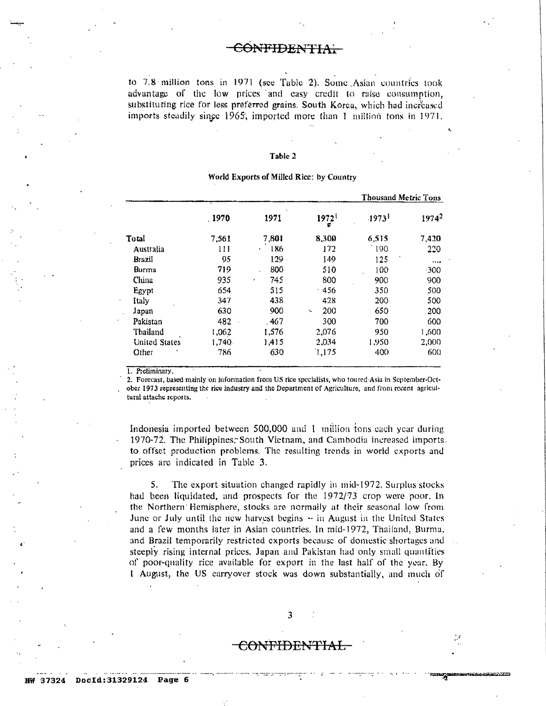to 7.8 million tons in 1971 (see Table 2). Some Asian countries took advantage of the low prices and easy credit to raise consumption, substituting rice for less preferred grains. South Korea, which had increased imports steadily singe 1965, imported more than 1 million tons in 1971.

#### Table 2

|               |        |                     |                             | Thousand Metric Tons |                   |
|---------------|--------|---------------------|-----------------------------|----------------------|-------------------|
|               | .1970  | 1971                | 1972 <sup>1</sup><br>c      | $.1973$ <sup>1</sup> | 1974 <sup>2</sup> |
| Total         | 7,561  | 7,801               | 8,300                       | 6,515                | 7,420             |
| Australia     | 111    | 186<br>$\mathbf{r}$ | 172                         | 190                  | 220               |
| Brazil        | 95     | 129                 | 149                         | 125                  |                   |
| Burma         | 719    | 800                 | 510                         | 100                  | 300               |
| China         | 935    | 745<br>٠            | 800                         | 900                  | 900               |
| Egypt         | 654    | 515                 | 456<br>J.                   | 350                  | 500               |
| Italy         | 347    | 438                 | 428                         | 200                  | 500               |
| Japan         | 630    | 900                 | 200<br>$\ddot{\phantom{0}}$ | 650                  | 200               |
| Pakistan      | 482    | . 467               | 300                         | 700                  | 600               |
| Thailand      | 1,062  | 1,576               | 2,076                       | 950                  | 1,600             |
| United States | 1,740. | 1,415               | 2,034                       | 1,950                | 2,000             |
| ×<br>Other    | 786    | 630                 | 1,175                       | 400                  | 600               |

#### World Exports of Milled Rice: by Country

1. Preliminary.

2. Forecast, based mainly on information from US rice specialists, who toured Asia in September-October 1973 representing the rice industry and the Department of Agriculture, and from recent agricultural attache reports.

Indonesia imported between 500,000 and 1 million tons each year during 1970-72. The Philippines, South Vietnam, and Cambodia increased imports. to offset production problems. The resulting trends in world exports and prices are indicated in Table 3.

5. The export situation changed rapidly in mid-1972. Surplus stocks had been liquidated, and prospects for the 1972/73 crop were poor. In the Northern Hemisphere, stocks are normally at their seasonal low from June or July until the new harvest begins  $-$  in August in the United States and a few months later in Asian countries. In mid-1972, Thailand, Burma, and Brazil temporarily restricted exports because of domestic shortages and steeply rising internal prices. Japan and Pakistan had only small quantities of poor-quality rice available for export in the last half of the year. By I August, the US carryover stock was down substantially, and much of

# CONFIDENTIAL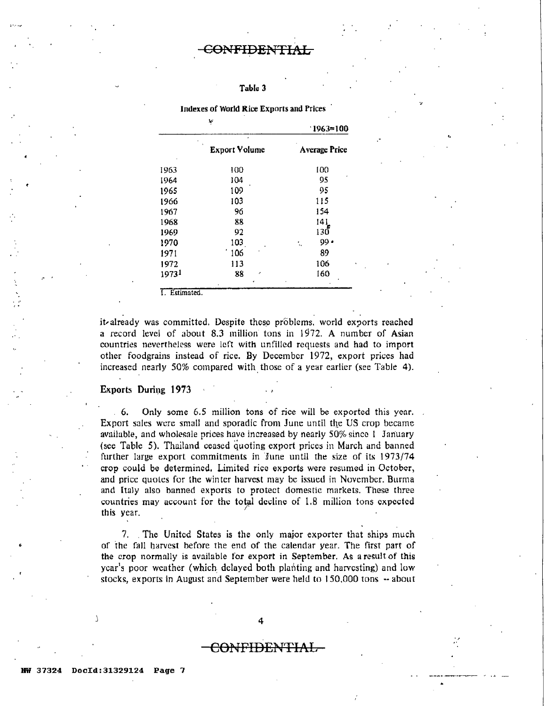# CONFIDENTIAL

### Table 3

|       | ۳                    | $1963 = 100$         |  |
|-------|----------------------|----------------------|--|
|       | <b>Export Volume</b> | <b>Average Price</b> |  |
| 1963  | 100                  | 100                  |  |
| 1964  | 104                  | 95                   |  |
| 1965  | 109                  | 95                   |  |
| 1966  | 103                  | 115                  |  |
| 1967  | 96                   | 154                  |  |
| 1968  | 88                   | 141                  |  |
| 1969  | 92                   | 130                  |  |
| 1970  | 103                  | $99 -$<br>٠.         |  |
| 1971  | 106                  | 89                   |  |
| 1972  | 113                  | 106                  |  |
| 19731 | 88<br>×              | 160                  |  |

Indexes of World Rice Exports and Prices

---

..

!.Estimated.

it-already was committed. Despite these problems, world exports reached a record level of about 8.3 million tons in 1972. A number of Asian countries nevertheless were left with unfilled requests and had to import other foodgrains instead of rice. By December 1972, export prices had increased nearly 50% compared with those of a year earlier (see Table 4).

#### Exports During 1973

6. Only some 6.5 million tons of rice will be exported this year. Export sales were small and sporadic from June until the US crop became available, and wholesale prices have increased by nearly 50% since l January (see Table 5). Thailand ceased quoting export prices in March and banned further large export commitments in June until the size of its 1973/74 crop could be determined. Limited rice exports were resumed in October, and price quotes for the winter harvest may be issued in November. Burma and Italy also banned exports to protect domestic markets. These three countries may account for the total decline of 1.8 million tons expected this year.

7. The United States is the only major exporter that ships much or the fall harvest before the end of the calendar year. The first part of the crop normnlly is available for export in September. As a result of this year's poor weather (which delayed both planting and harvesting) and low stocks, exports in August and September were held to  $150,000$  tons  $-$  about

# CONFIDENTIAL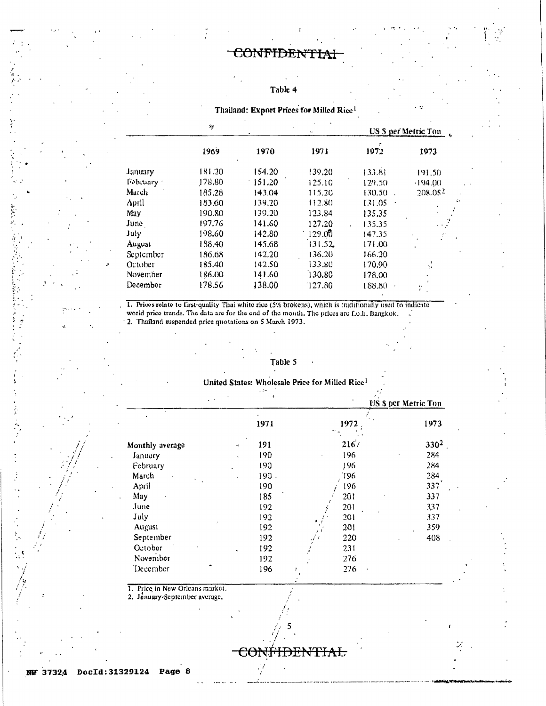#### Table 4

Thailand: Export Prices for Milled Rice!

|            | $k\in$ |        | $\mathbf{A}$<br>$\ddot{\phantom{1}}$ | <b>US \$ per Metric Ton</b> |                           |
|------------|--------|--------|--------------------------------------|-----------------------------|---------------------------|
|            | 1969   | 1970   | 1971                                 | 1972                        | 1973                      |
| January    | 181.20 | 154.20 | 139.20                               | 133.81                      | 191.50                    |
| February : | 178,80 | 151.20 | 125.10                               | 129.50                      | $-194.00$                 |
| March      | 185.28 | 143.04 | 115.20                               | 130.50                      | 208.052                   |
| April      | 183.60 | 139.20 | 112.80                               | 131.05                      | ÷۶                        |
| May        | 190.80 | 139.20 | 123.84                               | 135.35                      |                           |
| June       | 197.76 | 141.60 | 127.20                               | 135.35                      | a a ju                    |
| July       | 198.60 | 142.80 | 129.00                               | 147.35                      | Ť,                        |
| August     | 188.40 | 145.68 | 131.52                               | 171.00                      | $\mathbf{r}$              |
| September  | 186.68 | 142.20 | 136.20                               | 166.20                      |                           |
| October    | 185.40 | 142.50 | 133.80                               | 170.90                      | ţ,                        |
| November   | 186.00 | 141.60 | 130.80                               | 178,00                      |                           |
| December   | 178.56 | 138.00 | 127.80                               | 188.80                      | $\bullet$<br>$\mathbf{r}$ |

1. Prices relate to first-quality Thal white rice (5% brokens), which is traditionally used to indicate world price trends. The data are for the end of the month. The prices are f.o.b. Bangkok. 2. Thailand suspended price quotations on 5 March 1973.

## Table 5

#### United States: Wholesale Price for Milled Rice<sup>1</sup> e<br>S

 $\mathbb{R}^3$ 

|                 | $\cdot$ 4                         |              | US \$ per Metric Ton |  |
|-----------------|-----------------------------------|--------------|----------------------|--|
|                 | 1971                              | 1972         | 1973                 |  |
| Monthly average | $\bullet$<br>191<br>$\mathcal{A}$ | 2167         | $330^2$              |  |
| January         | 190<br>$\cdot$                    | 196          | 284                  |  |
| February        | 190                               | 196          | 284                  |  |
| March           | 190.                              | 196          | 284                  |  |
| April           | 190                               | 196          | 337                  |  |
| May             | 185                               | 201          | 337                  |  |
| June            | 192                               | 201          | 337                  |  |
| July            | 192                               | 201          | 337                  |  |
| August          | 192                               | 201          | 359                  |  |
| September       | 192                               | 220          | 408                  |  |
| October         | 192<br>×.                         | 231<br>تخوير |                      |  |
| November        | 192                               | 276          |                      |  |
| December        | 196                               | 276          |                      |  |

HDENTIAL

<del>COI</del>

1. Price in New Orleans market.

2. January-September average.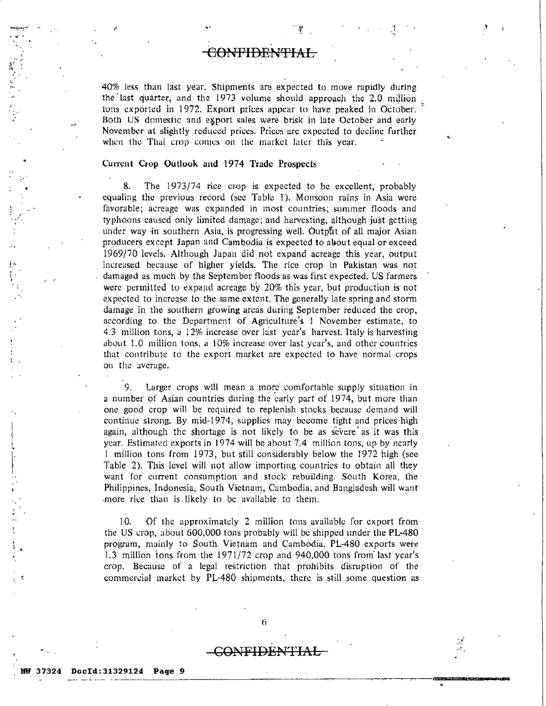# <del>CONTIDE!</del>

.,, '

..

.,. .~

40% less than last year. Shipments are expected to move rapidly during the last quarter, and the 1973 volume should approach the 2.0 million tons exported in 1972. Export prices appear to have peaked in October. Both US domestic and export sales were brisk in late October and early November at slightly reduced prices. Prices are expected to decline further when the Thai crop comes on the market later this year.

### Current Crop Outlook and 1974 Trade Prospects

8. The 1973/74 rice erop is expected to be excellent, probably equaling the previous record (see Table 1). Monsoon rains in Asia were favorable; acreage was expanded in most countries; summer Hoods and typhoons caused only limited damage; and harvesting, although just getting under way in southern Asia, is progressing well. Output of all major Asian producers except Japan and Cambodia is expected to about equal or exceed 1969/70 levels. Although Jupan did not expand acreage this year, output increased because of higher yields. The rice crop in Pakistan was not damaged as much by the September floods as was first expected. US farmers were permitted to expand acreage by  $20\%$  this year, but production is not expected to increase to the same extent. The generally late spring and storm damage in the southern growing areas during September reduced the crop, according to the Department of Agriculture's l November estimate, to 4.3 million tons, a 12% increase over last year's harvest. 1taly is harvesting about 1.0 million tons, a 10% increase over last year's, and other countries that contribute to the export market are expected to have normal crops on the average.

9. Larger crops will mean a more comfortable supply situation in a number of Asian countries during the early part of 1974, but more than one good crop will be required to replenish stocks because demand will continue strong.. By mid-1974, supplies may become tight and prices high again, although the shortage is not likely to be as severe as it was this year. Estimated exports in 1974 will be about 7.4 million tons, up by nearly I million tons from 1973, but still considerably below the 1972 high (see Table 2). This level will not allow importing countries to obtain all they want for current consumption and stock rebuilding. South Korea, the Philippines, Indonesia, South Vietnam, Cambodia, and Bangladesh will want more rice than is likely to be available to them.

10. Of the approximately 2 million tons available for export from the US crop, about 600,000 tons probably will be shipped under the PL-480 program, mainly to South. Vietnam and Cambodia. PL-480 exports were 1.3 million tons from the  $1971/72$  crop and 940,000 tons from last year's crop. Because of a legal restriction that prohibits disruption of the commcrciul market by PL-480 shipments, there is still some question as

# GONFIDENTIAL

•.  $\mathbf{k}$  .  $\mathbf{r}$ 

.,.

ነ<br>" ,<br>.

,,

 $\mathcal{L}$